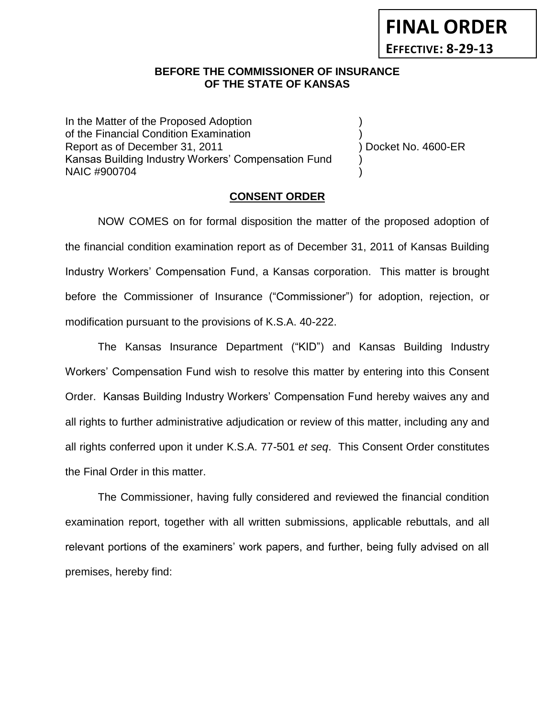# **FINAL ORDER EFFECTIVE: 8-29-13**

## **BEFORE THE COMMISSIONER OF INSURANCE** *-12***OF THE STATE OF KANSAS**

In the Matter of the Proposed Adoption of the Financial Condition Examination ) Report as of December 31, 2011 (and the contract of December 31, 2011) Docket No. 4600-ER Kansas Building Industry Workers' Compensation Fund ) NAIC #900704 )

## **CONSENT ORDER**

NOW COMES on for formal disposition the matter of the proposed adoption of the financial condition examination report as of December 31, 2011 of Kansas Building Industry Workers' Compensation Fund, a Kansas corporation. This matter is brought before the Commissioner of Insurance ("Commissioner") for adoption, rejection, or modification pursuant to the provisions of K.S.A. 40-222.

The Kansas Insurance Department ("KID") and Kansas Building Industry Workers' Compensation Fund wish to resolve this matter by entering into this Consent Order. Kansas Building Industry Workers' Compensation Fund hereby waives any and all rights to further administrative adjudication or review of this matter, including any and all rights conferred upon it under K.S.A. 77-501 *et seq*. This Consent Order constitutes the Final Order in this matter.

The Commissioner, having fully considered and reviewed the financial condition examination report, together with all written submissions, applicable rebuttals, and all relevant portions of the examiners' work papers, and further, being fully advised on all premises, hereby find: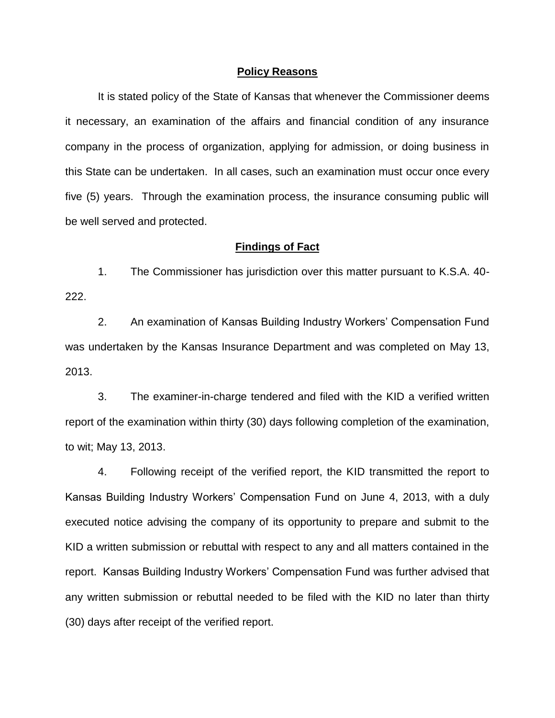#### **Policy Reasons**

It is stated policy of the State of Kansas that whenever the Commissioner deems it necessary, an examination of the affairs and financial condition of any insurance company in the process of organization, applying for admission, or doing business in this State can be undertaken. In all cases, such an examination must occur once every five (5) years. Through the examination process, the insurance consuming public will be well served and protected.

#### **Findings of Fact**

1. The Commissioner has jurisdiction over this matter pursuant to K.S.A. 40- 222.

2. An examination of Kansas Building Industry Workers' Compensation Fund was undertaken by the Kansas Insurance Department and was completed on May 13, 2013.

3. The examiner-in-charge tendered and filed with the KID a verified written report of the examination within thirty (30) days following completion of the examination, to wit; May 13, 2013.

4. Following receipt of the verified report, the KID transmitted the report to Kansas Building Industry Workers' Compensation Fund on June 4, 2013, with a duly executed notice advising the company of its opportunity to prepare and submit to the KID a written submission or rebuttal with respect to any and all matters contained in the report. Kansas Building Industry Workers' Compensation Fund was further advised that any written submission or rebuttal needed to be filed with the KID no later than thirty (30) days after receipt of the verified report.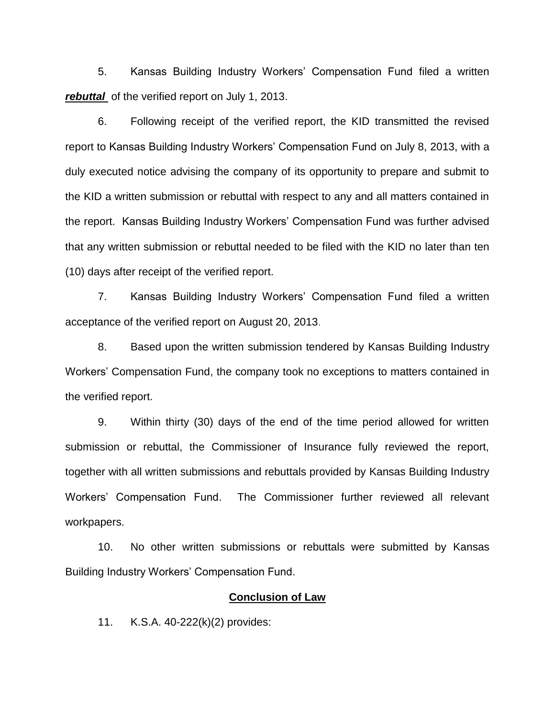5. Kansas Building Industry Workers' Compensation Fund filed a written *rebuttal* of the verified report on July 1, 2013.

6. Following receipt of the verified report, the KID transmitted the revised report to Kansas Building Industry Workers' Compensation Fund on July 8, 2013, with a duly executed notice advising the company of its opportunity to prepare and submit to the KID a written submission or rebuttal with respect to any and all matters contained in the report. Kansas Building Industry Workers' Compensation Fund was further advised that any written submission or rebuttal needed to be filed with the KID no later than ten (10) days after receipt of the verified report.

7. Kansas Building Industry Workers' Compensation Fund filed a written acceptance of the verified report on August 20, 2013.

8. Based upon the written submission tendered by Kansas Building Industry Workers' Compensation Fund, the company took no exceptions to matters contained in the verified report.

9. Within thirty (30) days of the end of the time period allowed for written submission or rebuttal, the Commissioner of Insurance fully reviewed the report, together with all written submissions and rebuttals provided by Kansas Building Industry Workers' Compensation Fund. The Commissioner further reviewed all relevant workpapers.

10. No other written submissions or rebuttals were submitted by Kansas Building Industry Workers' Compensation Fund.

#### **Conclusion of Law**

11. K.S.A. 40-222(k)(2) provides: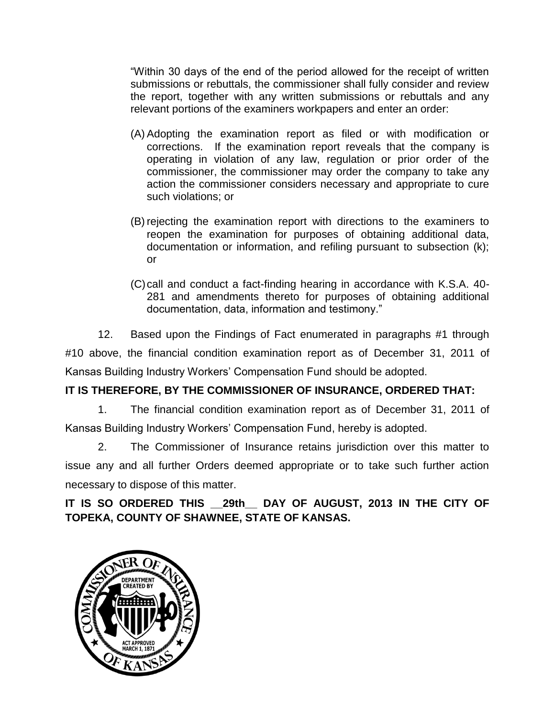"Within 30 days of the end of the period allowed for the receipt of written submissions or rebuttals, the commissioner shall fully consider and review the report, together with any written submissions or rebuttals and any relevant portions of the examiners workpapers and enter an order:

- (A) Adopting the examination report as filed or with modification or corrections. If the examination report reveals that the company is operating in violation of any law, regulation or prior order of the commissioner, the commissioner may order the company to take any action the commissioner considers necessary and appropriate to cure such violations; or
- (B) rejecting the examination report with directions to the examiners to reopen the examination for purposes of obtaining additional data, documentation or information, and refiling pursuant to subsection (k); or
- (C)call and conduct a fact-finding hearing in accordance with K.S.A. 40- 281 and amendments thereto for purposes of obtaining additional documentation, data, information and testimony."

12. Based upon the Findings of Fact enumerated in paragraphs #1 through #10 above, the financial condition examination report as of December 31, 2011 of Kansas Building Industry Workers' Compensation Fund should be adopted.

# **IT IS THEREFORE, BY THE COMMISSIONER OF INSURANCE, ORDERED THAT:**

1. The financial condition examination report as of December 31, 2011 of Kansas Building Industry Workers' Compensation Fund, hereby is adopted.

2. The Commissioner of Insurance retains jurisdiction over this matter to issue any and all further Orders deemed appropriate or to take such further action necessary to dispose of this matter.

**IT IS SO ORDERED THIS \_\_29th\_\_ DAY OF AUGUST, 2013 IN THE CITY OF TOPEKA, COUNTY OF SHAWNEE, STATE OF KANSAS.**

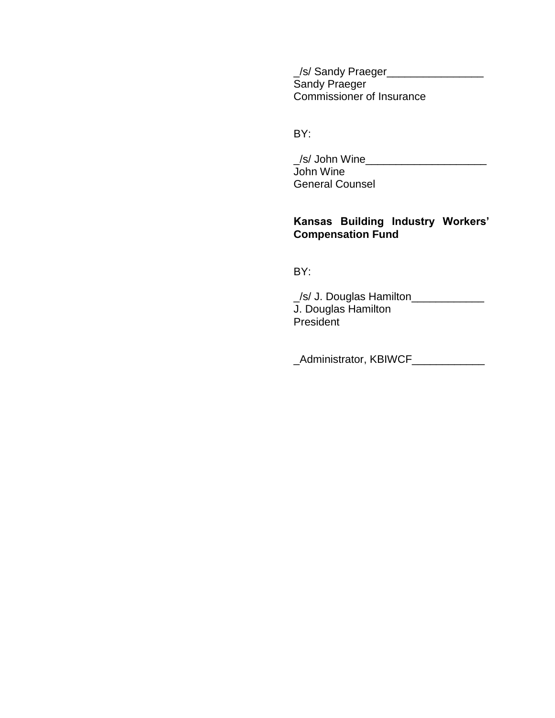\_/s/ Sandy Praeger\_\_\_\_\_\_\_\_\_\_\_\_\_\_\_\_ Sandy Praeger Commissioner of Insurance

BY:

\_/s/ John Wine\_\_\_\_\_\_\_\_\_\_\_\_\_\_\_\_\_\_\_\_ John Wine General Counsel

# **Kansas Building Industry Workers' Compensation Fund**

BY:

\_/s/ J. Douglas Hamilton\_\_\_\_\_\_\_\_\_\_\_\_ J. Douglas Hamilton President

\_Administrator, KBIWCF\_\_\_\_\_\_\_\_\_\_\_\_